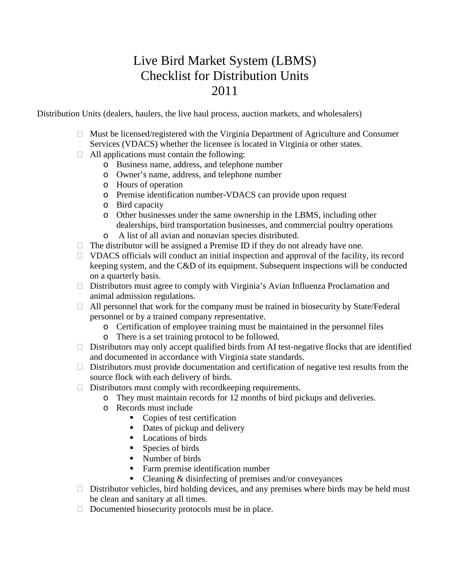## Live Bird Market System (LBMS) Checklist for Distribution Units 2011

Distribution Units (dealers, haulers, the live haul process, auction markets, and wholesalers)

- $\Box$  Must be licensed/registered with the Virginia Department of Agriculture and Consumer Services (VDACS) whether the licensee is located in Virginia or other states.
- $\Box$  All applications must contain the following:
	- o Business name, address, and telephone number
	- o Owner's name, address, and telephone number
	- o Hours of operation
	- o Premise identification number-VDACS can provide upon request
	- o Bird capacity
	- o Other businesses under the same ownership in the LBMS, including other dealerships, bird transportation businesses, and commercial poultry operations
	- o A list of all avian and nonavian species distributed.
- $\Box$  The distributor will be assigned a Premise ID if they do not already have one.
- $\Box$  VDACS officials will conduct an initial inspection and approval of the facility, its record keeping system, and the C&D of its equipment. Subsequent inspections will be conducted on a quarterly basis.
- $\Box$  Distributors must agree to comply with Virginia's Avian Influenza Proclamation and animal admission regulations.
- $\Box$  All personnel that work for the company must be trained in biosecurity by State/Federal personnel or by a trained company representative.
	- o Certification of employee training must be maintained in the personnel files
	- o There is a set training protocol to be followed.
- $\Box$  Distributors may only accept qualified birds from AI test-negative flocks that are identified and documented in accordance with Virginia state standards.
- $\Box$  Distributors must provide documentation and certification of negative test results from the source flock with each delivery of birds.
- $\Box$  Distributors must comply with record keeping requirements.
	- o They must maintain records for 12 months of bird pickups and deliveries.
		- o Records must include
			- Copies of test certification
			- Dates of pickup and delivery
			- Locations of birds
			- Species of birds
			- Number of birds
			- Farm premise identification number
			- $\blacksquare$  Cleaning & disinfecting of premises and/or conveyances
- $\Box$  Distributor vehicles, bird holding devices, and any premises where birds may be held must be clean and sanitary at all times.
- $\Box$  Documented biosecurity protocols must be in place.